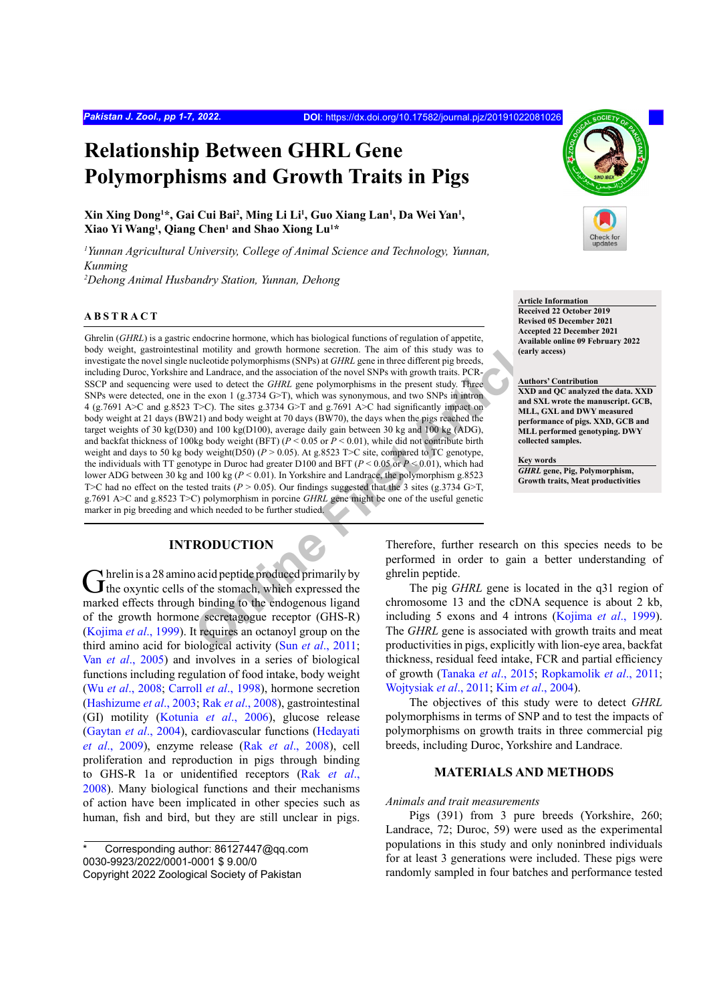# **Relationship Between GHRL Gene Polymorphisms and Growth Traits in Pigs**

Xin Xing Dong<sup>1\*</sup>, Gai Cui Bai<sup>2</sup>, Ming Li Li<sup>1</sup>, Guo Xiang Lan<sup>1</sup>, Da Wei Yan<sup>1</sup>, **Xiao Yi Wang1 , Qiang Chen1 and Shao Xiong Lu1 \***

*1 Yunnan Agricultural University, College of Animal Science and Technology, Yunnan, Kunming*

*2 Dehong Animal Husbandry Station, Yunnan, Dehong*

#### **ABSTRACT**

endocrine normone, which has biological tunctions of regulation of appetite.<br>
all motility and growth hormone secretion. The aim of this study was to<br>
ucleotide polymorphisms (SNPs) at *GHRL* gene in three different pig br Ghrelin (*GHRL*) is a gastric endocrine hormone, which has biological functions of regulation of appetite, body weight, gastrointestinal motility and growth hormone secretion. The aim of this study was to investigate the novel single nucleotide polymorphisms (SNPs) at *GHRL* gene in three different pig breeds, including Duroc, Yorkshire and Landrace, and the association of the novel SNPs with growth traits. PCR-SSCP and sequencing were used to detect the *GHRL* gene polymorphisms in the present study. Three SNPs were detected, one in the exon 1 (g.3734 G>T), which was synonymous, and two SNPs in intron 4 (g.7691 A>C and g.8523 T>C). The sites g.3734 G>T and g.7691 A>C had significantly impact on body weight at 21 days (BW21) and body weight at 70 days (BW70), the days when the pigs reached the target weights of 30 kg(D30) and 100 kg(D100), average daily gain between 30 kg and 100 kg (ADG), and backfat thickness of 100kg body weight (BFT) ( $P < 0.05$  or  $P < 0.01$ ), while did not contribute birth weight and days to 50 kg body weight(D50)  $(P > 0.05)$ . At g.8523 T  $\geq$  site, compared to TC genotype, the individuals with TT genotype in Duroc had greater D100 and BFT (*P* < 0.05 or *P* < 0.01), which had lower ADG between 30 kg and 100 kg (*P* < 0.01). In Yorkshire and Landrace, the polymorphism g.8523 T>C had no effect on the tested traits ( $P > 0.05$ ). Our findings suggested that the 3 sites (g.3734 G>T, g.7691 A>C and g.8523 T>C) polymorphism in porcine *GHRL* gene might be one of the useful genetic marker in pig breeding and which needed to be further studied.

## **INTRODUCTION**

Ghrelin is a 28 amino acid peptide produced primarily by the oxyntic cells of the stomach, which expressed the marked effects through binding to the endogenous ligand of the growth hormone secretagogue receptor (GHS-R) [\(Kojima](#page-6-0) *et al*., 1999). It requires an octanoyl group on the third amino acid for biological activity (Sun *et al*., 2011; Van *et al*[., 2005\)](#page-6-2) and involves in a series of biological functions including regulation of food intake, body weight (Wu *et al*[., 2008;](#page-6-3) [Carroll](#page-5-0) *et al*., 1998), hormone secretion [\(Hashizume](#page-6-4) *et al*., 2003; Rak *et al*[., 2008\)](#page-6-5), gastrointestinal (GI) motility [\(Kotunia](#page-6-6) *et al*., 2006), glucose release [\(Gaytan](#page-6-7) *et al*., 2004), cardiovascular functions [\(Hedayati](#page-6-8) *et al*[., 2009](#page-6-8)), enzyme release (Rak *et al*[., 2008\)](#page-6-5), cell proliferation and reproduction in pigs through binding to GHS-R 1a or unidentified receptors (Rak *[et al](#page-6-5)*., [2008\)](#page-6-5). Many biological functions and their mechanisms of action have been implicated in other species such as human, fish and bird, but they are still unclear in pigs.



**Article Information Received 22 October 2019 Revised 05 December 2021 Accepted 22 December 2021 Available online 09 February 2022 (early access)**

# **Authors' Contribution**

**XXD and QC analyzed the data. XXD and SXL wrote the manuscript. GCB, MLL, GXL and DWY measured performance of pigs. XXD, GCB and MLL performed genotyping. DWY collected samples.**

**Key words** *GHRL* **gene, Pig, Polymorphism, Growth traits, Meat productivities**

Therefore, further research on this species needs to be performed in order to gain a better understanding of ghrelin peptide.

The pig *GHRL* gene is located in the q31 region of chromosome 13 and the cDNA sequence is about 2 kb, including 5 exons and 4 introns [\(Kojima](#page-6-0) *et al*., 1999). The *GHRL* gene is associated with growth traits and meat productivities in pigs, explicitly with lion-eye area, backfat thickness, residual feed intake, FCR and partial efficiency of growth [\(Tanaka](#page-6-9) *et al*., 2015; Ropkamolik *et al*., 2011; [Wojtysiak](#page-6-10) *et al*., 2011; Kim *et al*[., 2004\)](#page-6-11).

The objectives of this study were to detect *GHRL* polymorphisms in terms of SNP and to test the impacts of polymorphisms on growth traits in three commercial pig breeds, including Duroc, Yorkshire and Landrace.

## **MATERIALS AND METHODS**

#### *Animals and trait measurements*

Pigs (391) from 3 pure breeds (Yorkshire, 260; Landrace, 72; Duroc, 59) were used as the experimental populations in this study and only noninbred individuals for at least 3 generations were included. These pigs were randomly sampled in four batches and performance tested

Corresponding author: 86127447@qq.com 0030-9923/2022/0001-0001 \$ 9.00/0 Copyright 2022 Zoological Society of Pakistan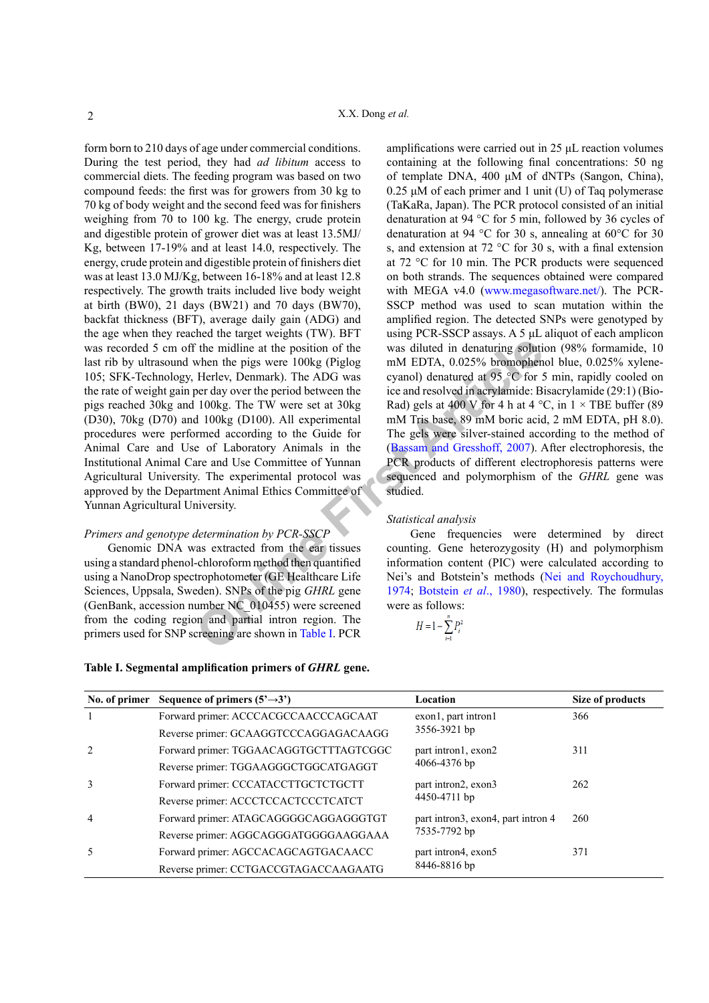The midline a[t](#page-5-1) the position of the was diluted in denatturing solution<br>
when the pigs were 100kg (Piglog mM EDT[A](#page-5-1), 0.025% bromophen<br>
Herlev, Denmark). The ADG was cyanol) denatured at 95 °C for 5<br>
per day over the period b form born to 210 days of age under commercial conditions. During the test period, they had *ad libitum* access to commercial diets. The feeding program was based on two compound feeds: the first was for growers from 30 kg to 70 kg of body weight and the second feed was for finishers weighing from 70 to 100 kg. The energy, crude protein and digestible protein of grower diet was at least 13.5MJ/ Kg, between 17-19% and at least 14.0, respectively. The energy, crude protein and digestible protein of finishers diet was at least 13.0 MJ/Kg, between 16-18% and at least 12.8 respectively. The growth traits included live body weight at birth (BW0), 21 days (BW21) and 70 days (BW70), backfat thickness (BFT), average daily gain (ADG) and the age when they reached the target weights (TW). BFT was recorded 5 cm off the midline at the position of the last rib by ultrasound when the pigs were 100kg (Piglog 105; SFK-Technology, Herlev, Denmark). The ADG was the rate of weight gain per day over the period between the pigs reached 30kg and 100kg. The TW were set at 30kg (D30), 70kg (D70) and 100kg (D100). All experimental procedures were performed according to the Guide for Animal Care and Use of Laboratory Animals in the Institutional Animal Care and Use Committee of Yunnan Agricultural University. The experimental protocol was approved by the Department Animal Ethics Committee of Yunnan Agricultural University.

## *Primers and genotype determination by PCR-SSCP*

Genomic DNA was extracted from the ear tissues using a standard phenol-chloroform method then quantified using a NanoDrop spectrophotometer (GE Healthcare Life Sciences, Uppsala, Sweden). SNPs of the pig *GHRL* gene (GenBank, accession number NC\_010455) were screened from the coding region and partial intron region. The primers used for SNP screening are shown in Table I. PCR

# amplifications were carried out in 25 μL reaction volumes containing at the following final concentrations: 50 ng of template DNA, 400 μM of dNTPs (Sangon, China),  $0.25 \mu M$  of each primer and 1 unit (U) of Taq polymerase (TaKaRa, Japan). The PCR protocol consisted of an initial denaturation at 94 °C for 5 min, followed by 36 cycles of denaturation at 94 °C for 30 s, annealing at 60°C for 30 s, and extension at 72 °C for 30 s, with a final extension at 72 °C for 10 min. The PCR products were sequenced on both strands. The sequences obtained were compared with MEGA v4.0 (<www.megasoftware.net/>). The PCR-SSCP method was used to scan mutation within the amplified region. The detected SNPs were genotyped by using PCR-SSCP assays. A 5 μL aliquot of each amplicon was diluted in denaturing solution (98% formamide, 10 mM EDTA, 0.025% bromophenol blue, 0.025% xylenecyanol) denatured at 95 °C for 5 min, rapidly cooled on ice and resolved in acrylamide: Bisacrylamide (29:1) (Bio-Rad) gels at 400 V for 4 h at 4 °C, in  $1 \times$  TBE buffer (89) mM Tris base, 89 mM boric acid, 2 mM EDTA, pH 8.0). The gels were silver-stained according to the method of (Bassam and Gresshoff, 2007). After electrophoresis, the PCR products of different electrophoresis patterns were sequenced and polymorphism of the *GHRL* gene was studied.

## *Statistical analysis*

Gene frequencies were determined by direct counting. Gene heterozygosity (H) and polymorphism information content (PIC) were calculated according to Nei's and Botstein's methods [\(Nei and Roychoudhury,](#page-6-12) 1974; Botstein *et al*., 1980), respectively. The formulas were as follows:

$$
H = 1 - \sum_{i=1}^{n} P_i^2
$$

|                | No. of primer Sequence of primers $(5' \rightarrow 3')$ | Location                           | Size of products |  |
|----------------|---------------------------------------------------------|------------------------------------|------------------|--|
|                | Forward primer: ACCCACGCCAACCCAGCAAT                    | exon1, part intron1                | 366              |  |
|                | Reverse primer: GCAAGGTCCCAGGAGACAAGG                   | 3556-3921 bp                       |                  |  |
|                | Forward primer: TGGAACAGGTGCTTTAGTCGGC                  | part intron1, exon2                | 311              |  |
|                | Reverse primer: TGGAAGGGCTGGCATGAGGT                    | $4066 - 4376$ bp                   |                  |  |
| $\mathcal{E}$  | Forward primer: CCCATACCTTGCTCTGCTT                     | part intron2, exon3                | 262              |  |
|                | Reverse primer: ACCCTCCACTCCCTCATCT                     | 4450-4711 bp                       |                  |  |
| $\overline{4}$ | Forward primer: ATAGCAGGGGCAGGAGGGTGT                   | part intron3, exon4, part intron 4 | 260              |  |
|                | Reverse primer: AGGCAGGGATGGGGAAGGAAA                   | 7535-7792 bp                       |                  |  |
|                | Forward primer: AGCCACAGCAGTGACAACC                     | part intron4, exon5                | 371              |  |
|                | Reverse primer: CCTGACCGTAGACCAAGAATG                   | 8446-8816 bp                       |                  |  |

# <span id="page-1-0"></span>**Table I. Segmental amplification primers of** *GHRL* **gene.**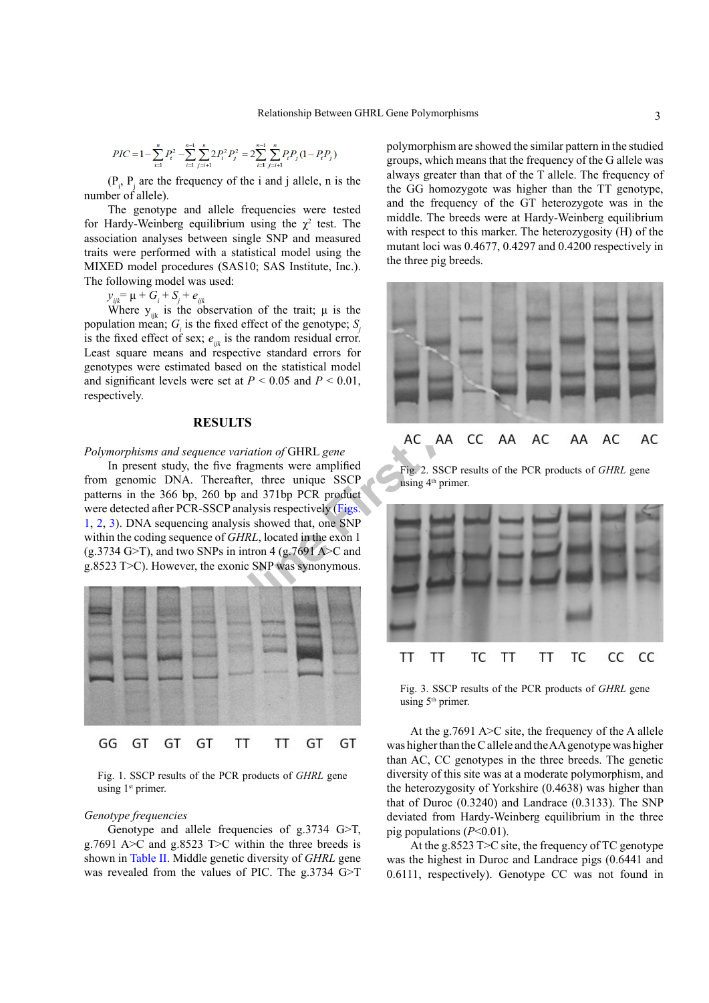$$
PIC = 1 - \sum_{i=1}^{n} P_i^2 - \sum_{i=1}^{n-1} \sum_{j=i+1}^{n} 2P_i^2 P_j^2 = 2 \sum_{i=1}^{n-1} \sum_{j=i+1}^{n} P_i P_j (1 - P_i P_j)
$$

 $(P_i, P_j)$  are the frequency of the i and j allele, n is the number of allele).

The genotype and allele frequencies were tested for Hardy-Weinberg equilibrium using the  $\chi^2$  test. The association analyses between single SNP and measured traits were performed with a statistical model using the MIXED model procedures (SAS10; SAS Institute, Inc.). The following model was used:

 $y_{ijk} = \mu + G_i + S_j + e_{ijk}$ 

Where  $y_{ijk}$  is the observation of the trait;  $\mu$  is the population mean;  $G_i$  is the fixed effect of the genotype;  $S_j$ is the fixed effect of sex;  $e_{ijk}$  is the random residual error. Least square means and respective standard errors for genotypes were estimated based on the statistical model and significant levels were set at  $P < 0.05$  and  $P < 0.01$ , respectively.

### **RESULTS**

#### *Polymorphisms and sequence variation of* GHRL *gene*

In present study, the five fragments were amplified from genomic DNA. Thereafter, three unique SSCP patterns in the 366 bp, 260 bp and 371bp PCR product were detected after PCR-SSCP analysis respectively (Figs. [1,](#page-2-0) [2](#page-2-1), [3\)](#page-2-2). DNA sequencing analysis showed that, one SNP within the coding sequence of *GHRL*, located in the exon 1  $(g.3734 \text{ G}\text{~T})$ , and two SNPs in intron 4  $(g.7691 \text{ A}\text{~C})$  and g.8523 T>C). However, the exonic SNP was synonymous.



<span id="page-2-0"></span>Fig. 1. SSCP results of the PCR products of *GHRL* gene using  $1<sup>st</sup>$  primer.

#### *Genotype frequencies*

Genotype and allele frequencies of g.3734 G>T, g.7691 A>C and g.8523 T>C within the three breeds is shown in [Table II](#page-3-0). Middle genetic diversity of *GHRL* gene was revealed from the values of PIC. The g.3734 G>T

polymorphism are showed the similar pattern in the studied groups, which means that the frequency of the G allele was always greater than that of the T allele. The frequency of the GG homozygote was higher than the TT genotype, and the frequency of the GT heterozygote was in the middle. The breeds were at Hardy-Weinberg equilibrium with respect to this marker. The heterozygosity (H) of the mutant loci was 0.4677, 0.4297 and 0.4200 respectively in the three pig breeds.



<span id="page-2-1"></span>



Fig. 3. SSCP results of the PCR products of *GHRL* gene using  $5<sup>th</sup>$  primer.

<span id="page-2-2"></span>At the g.7691 A>C site, the frequency of the A allele was higher than the C allele and the AA genotype was higher than AC, CC genotypes in the three breeds. The genetic diversity of this site was at a moderate polymorphism, and the heterozygosity of Yorkshire (0.4638) was higher than that of Duroc (0.3240) and Landrace (0.3133). The SNP deviated from Hardy-Weinberg equilibrium in the three pig populations (*P*<0.01).

At the g.8523 T>C site, the frequency of TC genotype was the highest in Duroc and Landrace pigs (0.6441 and 0.6111, respectively). Genotype CC was not found in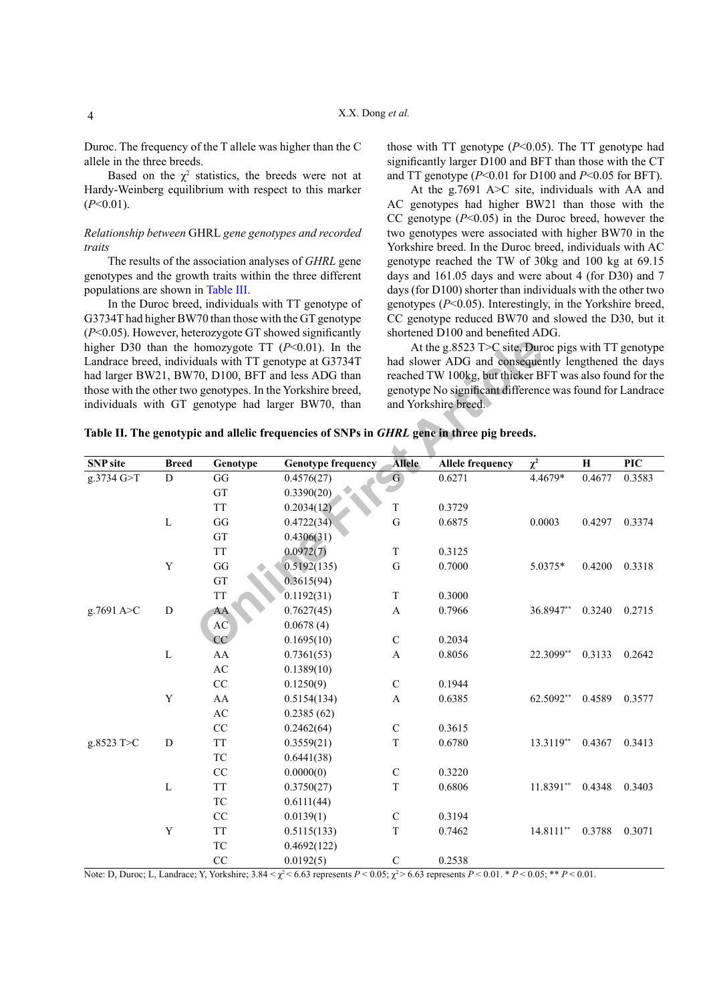Duroc. The frequency of the T allele was higher than the C allele in the three breeds.

Based on the  $\chi^2$  statistics, the breeds were not at Hardy-Weinberg equilibrium with respect to this marker  $(P<0.01)$ .

# *Relationship between* GHRL *gene genotypes and recorded traits*

The results of the association analyses of *GHRL* gene genotypes and the growth traits within the three different populations are shown in [Table III.](#page-4-0)

In the Duroc breed, individuals with TT genotype of G3734T had higher BW70 than those with the GT genotype (*P*<0.05). However, heterozygote GT showed significantly higher D30 than the homozygote TT (*P*<0.01). In the Landrace breed, individuals with TT genotype at G3734T had larger BW21, BW70, D100, BFT and less ADG than those with the other two genotypes. In the Yorkshire breed, individuals with GT genotype had larger BW70, than those with TT genotype (*P*<0.05). The TT genotype had significantly larger D100 and BFT than those with the CT and TT genotype (*P*<0.01 for D100 and *P*<0.05 for BFT).

At the g.7691 A>C site, individuals with AA and AC genotypes had higher BW21 than those with the CC genotype  $(P<0.05)$  in the Duroc breed, however the two genotypes were associated with higher BW70 in the Yorkshire breed. In the Duroc breed, individuals with AC genotype reached the TW of 30kg and 100 kg at 69.15 days and 161.05 days and were about 4 (for D30) and 7 days (for D100) shorter than individuals with the other two genotypes (*P*<0.05). Interestingly, in the Yorkshire breed, CC genotype reduced BW70 and slowed the D30, but it shortened D100 and benefited ADG.

<span id="page-3-0"></span>

| higher D30 than the homozygote TT $(P<0.01)$ . In the<br>Landrace breed, individuals with TT genotype at G3734T                                                         |              |                                                  |                                                                                           | At the g.8523 T>C site, Duroc pigs with TT genotype<br>had slower ADG and consequently lengthened the days<br>reached TW 100kg, but thicker BFT was also found for the<br>genotype No significant difference was found for Landrace<br>and Yorkshire breed. |                         |             |        |        |  |
|-------------------------------------------------------------------------------------------------------------------------------------------------------------------------|--------------|--------------------------------------------------|-------------------------------------------------------------------------------------------|-------------------------------------------------------------------------------------------------------------------------------------------------------------------------------------------------------------------------------------------------------------|-------------------------|-------------|--------|--------|--|
| had larger BW21, BW70, D100, BFT and less ADG than<br>those with the other two genotypes. In the Yorkshire breed,<br>individuals with GT genotype had larger BW70, than |              |                                                  |                                                                                           |                                                                                                                                                                                                                                                             |                         |             |        |        |  |
|                                                                                                                                                                         |              |                                                  | Table II. The genotypic and allelic frequencies of SNPs in GHRL gene in three pig breeds. |                                                                                                                                                                                                                                                             |                         |             |        |        |  |
| <b>SNP</b> site                                                                                                                                                         | <b>Breed</b> | Genotype                                         | <b>Genotype frequency</b>                                                                 | <b>Allele</b>                                                                                                                                                                                                                                               | <b>Allele frequency</b> | $\chi^2$    | Н      | PIC    |  |
| g.3734 G>T                                                                                                                                                              | $\mathbf D$  | GG                                               | 0.4576(27)                                                                                | G                                                                                                                                                                                                                                                           | 0.6271                  | 4.4679*     | 0.4677 | 0.3583 |  |
|                                                                                                                                                                         |              | GT                                               | 0.3390(20)                                                                                |                                                                                                                                                                                                                                                             |                         |             |        |        |  |
|                                                                                                                                                                         |              | $\ensuremath{\mathsf{T}}\ensuremath{\mathsf{T}}$ | 0.2034(12)                                                                                | $\mathbf T$                                                                                                                                                                                                                                                 | 0.3729                  |             |        |        |  |
|                                                                                                                                                                         | $\mathbf L$  | $\mathbf{G}\mathbf{G}$                           | 0.4722(34)                                                                                | $\mathbf G$                                                                                                                                                                                                                                                 | 0.6875                  | 0.0003      | 0.4297 | 0.3374 |  |
|                                                                                                                                                                         |              | ${\rm GT}$                                       | 0.4306(31)                                                                                |                                                                                                                                                                                                                                                             |                         |             |        |        |  |
|                                                                                                                                                                         |              | TT                                               | 0.0972(7)                                                                                 | $\mathbf T$                                                                                                                                                                                                                                                 | 0.3125                  |             |        |        |  |
|                                                                                                                                                                         | $\mathbf Y$  | $\mathbf{G}\mathbf{G}$                           | 0.5192(135)                                                                               | ${\bf G}$                                                                                                                                                                                                                                                   | 0.7000                  | 5.0375*     | 0.4200 | 0.3318 |  |
|                                                                                                                                                                         |              | ${\rm GT}$                                       | 0.3615(94)                                                                                |                                                                                                                                                                                                                                                             |                         |             |        |        |  |
|                                                                                                                                                                         |              | <b>TT</b>                                        | 0.1192(31)                                                                                | $\mathbf T$                                                                                                                                                                                                                                                 | 0.3000                  |             |        |        |  |
| g.7691 A>C                                                                                                                                                              | ${\rm D}$    | AA                                               | 0.7627(45)                                                                                | A                                                                                                                                                                                                                                                           | 0.7966                  | 36.8947**   | 0.3240 | 0.2715 |  |
|                                                                                                                                                                         |              | AC                                               | 0.0678(4)                                                                                 |                                                                                                                                                                                                                                                             |                         |             |        |        |  |
|                                                                                                                                                                         |              | CC                                               | 0.1695(10)                                                                                | $\mathbf C$                                                                                                                                                                                                                                                 | 0.2034                  |             |        |        |  |
|                                                                                                                                                                         | $\mathbf{L}$ | AA                                               | 0.7361(53)                                                                                | A                                                                                                                                                                                                                                                           | 0.8056                  | 22.3099**   | 0.3133 | 0.2642 |  |
|                                                                                                                                                                         |              | $\mathbf{A}\mathbf{C}$                           | 0.1389(10)                                                                                |                                                                                                                                                                                                                                                             |                         |             |        |        |  |
|                                                                                                                                                                         |              | $\rm CC$                                         | 0.1250(9)                                                                                 | $\mathsf C$                                                                                                                                                                                                                                                 | 0.1944                  |             |        |        |  |
|                                                                                                                                                                         | $\mathbf Y$  | ${\rm AA}$                                       | 0.5154(134)                                                                               | $\boldsymbol{\mathsf{A}}$                                                                                                                                                                                                                                   | 0.6385                  | 62.5092**   | 0.4589 | 0.3577 |  |
|                                                                                                                                                                         |              | $\mathbf{A}\mathbf{C}$                           | 0.2385(62)                                                                                |                                                                                                                                                                                                                                                             |                         |             |        |        |  |
|                                                                                                                                                                         |              | $\rm CC$                                         | 0.2462(64)                                                                                | $\mathbf C$                                                                                                                                                                                                                                                 | 0.3615                  |             |        |        |  |
| g.8523 T>C                                                                                                                                                              | $\mathbf D$  | <b>TT</b>                                        | 0.3559(21)                                                                                | $\mathbf T$                                                                                                                                                                                                                                                 | 0.6780                  | 13.3119**   | 0.4367 | 0.3413 |  |
|                                                                                                                                                                         |              | TC                                               | 0.6441(38)                                                                                |                                                                                                                                                                                                                                                             |                         |             |        |        |  |
|                                                                                                                                                                         |              | $\rm CC$                                         | 0.0000(0)                                                                                 | $\mathbf C$                                                                                                                                                                                                                                                 | 0.3220                  |             |        |        |  |
|                                                                                                                                                                         | $\mathbf L$  | TT                                               | 0.3750(27)                                                                                | $\mathbf T$                                                                                                                                                                                                                                                 | 0.6806                  | 11.8391**   | 0.4348 | 0.3403 |  |
|                                                                                                                                                                         |              | TC                                               | 0.6111(44)                                                                                |                                                                                                                                                                                                                                                             |                         |             |        |        |  |
|                                                                                                                                                                         |              | CC                                               | 0.0139(1)                                                                                 | $\mathcal{C}$                                                                                                                                                                                                                                               | 0.3194                  |             |        |        |  |
|                                                                                                                                                                         | $\mathbf Y$  | $\ensuremath{\mathsf{T}}\ensuremath{\mathsf{T}}$ | 0.5115(133)                                                                               | $\mathbf T$                                                                                                                                                                                                                                                 | 0.7462                  | $14.8111**$ | 0.3788 | 0.3071 |  |
|                                                                                                                                                                         |              | TC                                               | 0.4692(122)                                                                               |                                                                                                                                                                                                                                                             |                         |             |        |        |  |
|                                                                                                                                                                         |              | CC                                               | 0.0192(5)                                                                                 | $\mathbf C$                                                                                                                                                                                                                                                 | 0.2538                  |             |        |        |  |

Note: D, Duroc; L, Landrace; Y, Yorkshire; 3.84 < χ<sup>2</sup> < 6.63 represents *P* < 0.05; χ<sup>2</sup> > 6.63 represents *P* < 0.01. \* *P* < 0.05; \*\* *P* < 0.01.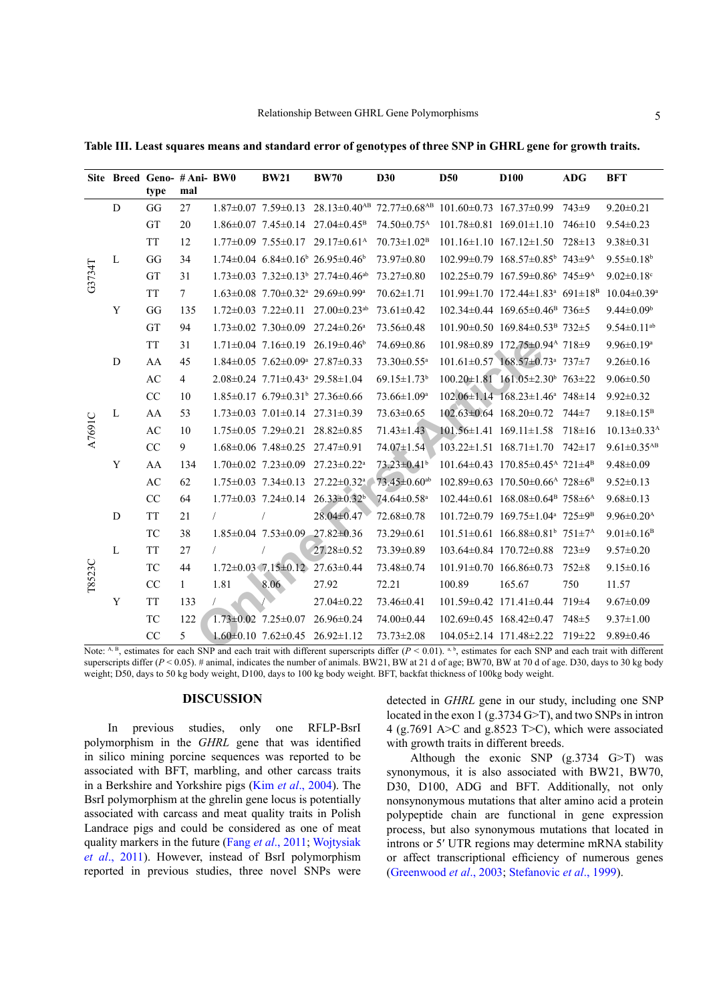<span id="page-4-0"></span>**Table III. Least squares means and standard error of genotypes of three SNP in GHRL gene for growth traits.**

|        | Site Breed Geno- #Ani- BW0 | type      | mal             |      | <b>BW21</b>                     | <b>BW70</b>                                                                 | <b>D30</b>                      | <b>D50</b> | <b>D100</b>                                                                                                                                              | <b>ADG</b> | <b>BFT</b>                    |
|--------|----------------------------|-----------|-----------------|------|---------------------------------|-----------------------------------------------------------------------------|---------------------------------|------------|----------------------------------------------------------------------------------------------------------------------------------------------------------|------------|-------------------------------|
|        | D                          | GG        | 27              |      |                                 |                                                                             |                                 |            | $1.87\pm0.07$ $7.59\pm0.13$ $28.13\pm0.40^{AB}$ $72.77\pm0.68^{AB}$ $101.60\pm0.73$ $167.37\pm0.99$ $743\pm9$                                            |            | $9.20 \pm 0.21$               |
| G3734T |                            | GT        | 20              |      |                                 | $1.86 \pm 0.07$ 7.45 $\pm$ 0.14 27.04 $\pm$ 0.45 <sup>B</sup>               | $74.50 \pm 0.75$ <sup>A</sup>   |            | $101.78 \pm 0.81$ $169.01 \pm 1.10$ $746 \pm 10$                                                                                                         |            | $9.54 \pm 0.23$               |
|        |                            | <b>TT</b> | 12              |      |                                 | $1.77\pm0.09$ 7.55 $\pm0.17$ 29.17 $\pm0.61$ <sup>A</sup>                   | $70.73 \pm 1.02^B$              |            | $101.16 \pm 1.10$ $167.12 \pm 1.50$ $728 \pm 13$                                                                                                         |            | $9.38 \pm 0.31$               |
|        | L                          | GG        | 34              |      |                                 | $1.74\pm0.04$ 6.84 $\pm0.16^{\circ}$ 26.95 $\pm0.46^{\circ}$                | 73.97±0.80                      |            | $102.99\pm0.79$ $168.57\pm0.85^{\circ}$ $743\pm9^{\circ}$                                                                                                |            | $9.55 \pm 0.18$ <sup>b</sup>  |
|        |                            | <b>GT</b> | 31              |      |                                 | $1.73 \pm 0.03$ $7.32 \pm 0.13$ <sup>b</sup> $27.74 \pm 0.46$ <sup>ab</sup> | $73.27 \pm 0.80$                |            | $102.25\pm0.79$ $167.59\pm0.86$ <sup>b</sup> $745\pm9$ <sup>A</sup>                                                                                      |            | $9.02 \pm 0.18$ °             |
|        |                            | TT        | $7\phantom{.0}$ |      |                                 | $1.63 \pm 0.08$ 7.70 $\pm$ 0.32 <sup>a</sup> 29.69 $\pm$ 0.99 <sup>a</sup>  | $70.62 \pm 1.71$                |            | $101.99 \pm 1.70$ $172.44 \pm 1.83$ <sup>a</sup> $691 \pm 18$ <sup>B</sup>                                                                               |            | $10.04 \pm 0.39$ <sup>a</sup> |
|        | Y                          | GG        | 135             |      |                                 | $1.72 \pm 0.03$ 7.22 $\pm$ 0.11 27.00 $\pm$ 0.23 <sup>ab</sup>              | $73.61 \pm 0.42$                |            | $102.34\pm0.44$ $169.65\pm0.46$ <sup>B</sup> $736\pm5$                                                                                                   |            | $9.44 \pm 0.09^b$             |
|        |                            | <b>GT</b> | 94              |      |                                 | $1.73 \pm 0.02$ $7.30 \pm 0.09$ $27.24 \pm 0.26$ <sup>a</sup>               | 73.56±0.48                      |            | $101.90\pm0.50$ $169.84\pm0.53$ <sup>B</sup> $732\pm5$                                                                                                   |            | $9.54 \pm 0.11$ <sup>ab</sup> |
|        |                            | TT        | 31              |      |                                 | $1.71 \pm 0.04$ 7.16 $\pm$ 0.19 26.19 $\pm$ 0.46 <sup>b</sup>               | 74.69±0.86                      |            | 101.98±0.89 172.75±0.94^ 718±9                                                                                                                           |            | $9.96 \pm 0.19$ <sup>a</sup>  |
|        | $\mathbf D$                | AA        | 45              |      |                                 | $1.84 \pm 0.05$ 7.62 $\pm$ 0.09 <sup>a</sup> 27.87 $\pm$ 0.33               | $73.30 \pm 0.55$ <sup>a</sup>   |            | $101.61 \pm 0.57$ $168.57 \pm 0.73$ <sup>a</sup> 737 $\pm$ 7                                                                                             |            | $9.26 \pm 0.16$               |
|        |                            | AC        | $\overline{4}$  |      |                                 | $2.08\pm0.24$ 7.71 $\pm0.43$ <sup>a</sup> 29.58 $\pm1.04$                   | $69.15 \pm 1.73$ <sup>b</sup>   |            | $100.20 \pm 1.81$ $161.05 \pm 2.30$ $763 \pm 22$                                                                                                         |            | $9.06 \pm 0.50$               |
|        |                            | CC        | 10              |      |                                 | $1.85 \pm 0.17$ 6.79 $\pm 0.31$ <sup>b</sup> 27.36 $\pm 0.66$               | 73.66±1.09 <sup>a</sup>         |            | $102.06 \pm 1.14 - 168.23 \pm 1.46$ <sup>a</sup> 748 $\pm 14$                                                                                            |            | $9.92 \pm 0.32$               |
| A7691C | L                          | AA        | 53              |      |                                 | $1.73 \pm 0.03$ $7.01 \pm 0.14$ $27.31 \pm 0.39$                            | $73.63 \pm 0.65$                |            | $102.63\pm0.64$ $168.20\pm0.72$ 744 $\pm7$                                                                                                               |            | $9.18 \pm 0.15^{\rm B}$       |
|        |                            | AC        | 10              |      |                                 | $1.75 \pm 0.05$ 7.29 $\pm$ 0.21 28.82 $\pm$ 0.85                            | $71.43 \pm 1.43$                |            | $101.56 \pm 1.41$ $169.11 \pm 1.58$ $718 \pm 16$                                                                                                         |            | $10.13 \pm 0.33$ <sup>A</sup> |
|        |                            | CC        | 9               |      |                                 | $1.68 \pm 0.06$ 7.48 $\pm 0.25$ 27.47 $\pm 0.91$                            | 74.07±1.54                      |            | $103.22 \pm 1.51$ $168.71 \pm 1.70$ $742 \pm 17$                                                                                                         |            | $9.61 \pm 0.35$ <sup>AB</sup> |
|        | Y                          | AA        | 134             |      |                                 | $1.70 \pm 0.02$ $7.23 \pm 0.09$ $27.23 \pm 0.22$ <sup>a</sup>               | $73.23 \pm 0.41$ <sup>b</sup>   |            | $101.64\pm0.43$ $170.85\pm0.45$ <sup>A</sup> $721\pm4$ <sup>B</sup>                                                                                      |            | $9.48 \pm 0.09$               |
|        |                            | AC        | 62              |      |                                 | $1.75 \pm 0.03$ $7.34 \pm 0.13$ $27.22 \pm 0.32$ <sup>a</sup>               | $-73.45 \pm 0.60$ <sup>ab</sup> |            | $102.89 \pm 0.63$ $170.50 \pm 0.66$ <sup>A</sup> $728 \pm 6$ <sup>B</sup>                                                                                |            | $9.52 \pm 0.13$               |
|        |                            | CC        | 64              |      |                                 | $1.77\pm0.03$ $7.24\pm0.14$ $26.33\pm0.32^{\circ}$                          | 74.64±0.58 <sup>a</sup>         |            | $102.44\pm0.61$ $168.08\pm0.64$ <sup>B</sup> $758\pm6$ <sup>A</sup>                                                                                      |            | $9.68 \pm 0.13$               |
| T8523C | D                          | TT        | 21              |      | $\frac{1}{2}$                   | 28.04±0.47                                                                  | 72.68±0.78                      |            | $101.72 \pm 0.79$ $169.75 \pm 1.04$ <sup>a</sup> $725 \pm 9$ <sup>B</sup>                                                                                |            | $9.96 \pm 0.20^{\text{A}}$    |
|        |                            | TC        | 38              |      |                                 | $1.85 \pm 0.04$ $7.53 \pm 0.09$ $27.82 \pm 0.36$                            | $73.29 \pm 0.61$                |            | $101.51\pm0.61$ $166.88\pm0.81$ <sup>b</sup> $751\pm7$ <sup>A</sup>                                                                                      |            | 9.01 $\pm$ 0.16 <sup>B</sup>  |
|        | L                          | <b>TT</b> | 27              |      |                                 | $27.28 \pm 0.52$                                                            | 73.39±0.89                      |            | $103.64\pm0.84$ $170.72\pm0.88$ $723\pm9$                                                                                                                |            | $9.57 \pm 0.20$               |
|        |                            | TC        | 44              |      |                                 | $1.72 \pm 0.03$ $7.15 \pm 0.12$ $27.63 \pm 0.44$                            | 73.48±0.74                      |            | $101.91 \pm 0.70$ $166.86 \pm 0.73$                                                                                                                      | 752±8      | $9.15 \pm 0.16$               |
|        |                            | CC        | $\mathbf{1}$    | 1.81 | 8.06                            | 27.92                                                                       | 72.21                           | 100.89     | 165.67                                                                                                                                                   | 750        | 11.57                         |
|        | Y                          | TT        | 133             |      |                                 | $27.04 \pm 0.22$                                                            | 73.46±0.41                      |            | $101.59 \pm 0.42$ $171.41 \pm 0.44$                                                                                                                      | 719±4      | $9.67 \pm 0.09$               |
|        |                            | TC        | 122             |      | $1.73 \pm 0.02$ 7.25 $\pm 0.07$ | $26.96 \pm 0.24$                                                            | 74.00±0.44                      |            | $102.69 \pm 0.45$ $168.42 \pm 0.47$ 748 $\pm 5$                                                                                                          |            | $9.37 \pm 1.00$               |
|        |                            | CC        | 5               |      |                                 | $1.60\pm0.10$ 7.62 $\pm0.45$ 26.92 $\pm1.12$                                | $73.73 \pm 2.08$                |            | 104.05±2.14 171.48±2.22 719±22                                                                                                                           |            | $9.89 \pm 0.46$               |
|        |                            |           |                 |      |                                 |                                                                             |                                 |            | Note: A B estimates for each SND and each trait with different supersecute differ $(D \le 0.01)$ ab estimates for each SND and each trait with different |            |                               |

Note: <sup>A, B</sup>, estimates for each SNP and each trait with different superscripts differ  $(P < 0.01)$ . a, b, estimates for each SNP and each trait with different superscripts differ  $(P < 0.05)$ . # animal, indicates the number of animals. BW21, BW at 21 d of age; BW70, BW at 70 d of age. D30, days to 30 kg body weight; D50, days to 50 kg body weight, D100, days to 100 kg body weight. BFT, backfat thickness of 100kg body weight.

# **DISCUSSION**

In previous studies, only one RFLP-BsrI polymorphism in the *GHRL* gene that was identified in silico mining porcine sequences was reported to be associated with BFT, marbling, and other carcass traits in a Berkshire and Yorkshire pigs (Kim *et al*[., 2004\)](#page-6-11). The BsrI polymorphism at the ghrelin gene locus is potentially associated with carcass and meat quality traits in Polish Landrace pigs and could be considered as one of meat quality markers in the future (Fang *et al*[., 2011;](#page-5-3) [Wojtysiak](#page-6-10) *et al*[., 2011\)](#page-6-10). However, instead of BsrI polymorphism reported in previous studies, three novel SNPs were

detected in *GHRL* gene in our study, including one SNP located in the exon 1 (g.3734 G $\geq$ T), and two SNPs in intron 4 (g.7691 A>C and g.8523 T>C), which were associated with growth traits in different breeds.

Although the exonic SNP (g.3734 G>T) was synonymous, it is also associated with BW21, BW70, D30, D100, ADG and BFT. Additionally, not only nonsynonymous mutations that alter amino acid a protein polypeptide chain are functional in gene expression process, but also synonymous mutations that located in introns or 5′ UTR regions may determine mRNA stability or affect transcriptional efficiency of numerous genes [\(Greenwood](#page-6-13) *et al*., 2003; [Stefanovic](#page-6-14) *et al*., 1999).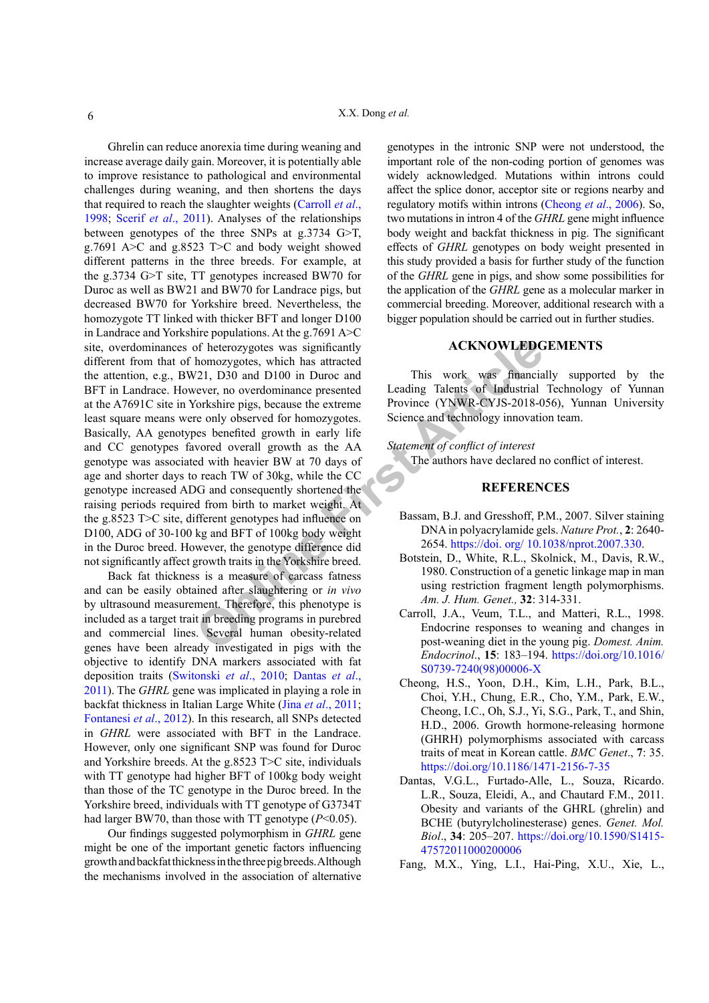of heterozygotes was significantly<br>
homozygotes, which has attracted<br>
221, D30 and D100 in Duroc and<br>
vever, no overdominance presented<br>
vortshire pigs, because the extreme<br>
re only observed for homozygotes. Science and te Ghrelin can reduce anorexia time during weaning and increase average daily gain. Moreover, it is potentially able to improve resistance to pathological and environmental challenges during weaning, and then shortens the days that required to reach the slaughter weights ([Carroll](#page-5-0) *et al*., [1998;](#page-5-0) Scerif *et al*[., 2011](#page-6-15)). Analyses of the relationships between genotypes of the three SNPs at g.3734 G>T, g.7691 A>C and g.8523 T>C and body weight showed different patterns in the three breeds. For example, at the g.3734 G>T site, TT genotypes increased BW70 for Duroc as well as BW21 and BW70 for Landrace pigs, but decreased BW70 for Yorkshire breed. Nevertheless, the homozygote TT linked with thicker BFT and longer D100 in Landrace and Yorkshire populations. At the g.7691 A>C site, overdominances of heterozygotes was significantly different from that of homozygotes, which has attracted the attention, e.g., BW21, D30 and D100 in Duroc and BFT in Landrace. However, no overdominance presented at the A7691C site in Yorkshire pigs, because the extreme least square means were only observed for homozygotes. Basically, AA genotypes benefited growth in early life and CC genotypes favored overall growth as the AA genotype was associated with heavier BW at 70 days of age and shorter days to reach TW of 30kg, while the CC genotype increased ADG and consequently shortened the raising periods required from birth to market weight. At the g.8523 T>C site, different genotypes had influence on D100, ADG of 30-100 kg and BFT of 100kg body weight in the Duroc breed. However, the genotype difference did not significantly affect growth traits in the Yorkshire breed.

Back fat thickness is a measure of carcass fatness and can be easily obtained after slaughtering or *in vivo*  by ultrasound measurement. Therefore, this phenotype is included as a target trait in breeding programs in purebred and commercial lines. Several human obesity-related genes have been already investigated in pigs with the objective to identify DNA markers associated with fat deposition traits ([Switonski](#page-6-16) *et al*., 2010; [Dantas](#page-5-4) *et al*., [2011](#page-5-4)). The *GHRL* gene was implicated in playing a role in backfat thickness in Italian Large White (Jina *et al*[., 2011;](#page-6-17) Fontanesi *et al*., 2012). In this research, all SNPs detected in *GHRL* were associated with BFT in the Landrace. However, only one significant SNP was found for Duroc and Yorkshire breeds. At the g.8523 T>C site, individuals with TT genotype had higher BFT of 100kg body weight than those of the TC genotype in the Duroc breed. In the Yorkshire breed, individuals with TT genotype of G3734T had larger BW70, than those with TT genotype (*P*<0.05).

Our findings suggested polymorphism in *GHRL* gene might be one of the important genetic factors influencing growth and backfat thickness in the three pig breeds. Although the mechanisms involved in the association of alternative

genotypes in the intronic SNP were not understood, the important role of the non-coding portion of genomes was widely acknowledged. Mutations within introns could affect the splice donor, acceptor site or regions nearby and regulatory motifs within introns ([Cheong](#page-5-5) *et al*., 2006). So, two mutations in intron 4 of the *GHRL* gene might influence body weight and backfat thickness in pig. The significant effects of *GHRL* genotypes on body weight presented in this study provided a basis for further study of the function of the *GHRL* gene in pigs, and show some possibilities for the application of the *GHRL* gene as a molecular marker in commercial breeding. Moreover, additional research with a bigger population should be carried out in further studies.

# **ACKNOWLEDGEMENTS**

This work was financially supported by the Leading Talents of Industrial Technology of Yunnan Province (YNWR-CYJS-2018-056), Yunnan University Science and technology innovation team.

#### *Statement of conflict of interest*

The authors have declared no conflict of interest.

### **REFERENCES**

- <span id="page-5-1"></span>Bassam, B.J. and Gresshoff, P.M., 2007. Silver staining DNA in polyacrylamide gels. *Nature Prot.*, **2**: 2640- 2654. [https://doi. org/ 10.1038/nprot.2007.330.](https://doi. org/ 10.1038/nprot.2007.330)
- <span id="page-5-2"></span>Botstein, D., White, R.L., Skolnick, M., Davis, R.W., 1980. Construction of a genetic linkage map in man using restriction fragment length polymorphisms. *Am. J. Hum. Genet.,* **32**: 314-331.
- <span id="page-5-0"></span>Carroll, J.A., Veum, T.L., and Matteri, R.L., 1998. Endocrine responses to weaning and changes in post-weaning diet in the young pig. *Domest. Anim. Endocrinol*., **15**: 183–194. [https://doi.org/10.1016/](https://doi.org/10.1016/S0739-7240(98)00006-X) [S0739-7240\(98\)00006-X](https://doi.org/10.1016/S0739-7240(98)00006-X)
- <span id="page-5-5"></span>Cheong, H.S., Yoon, D.H., Kim, L.H., Park, B.L., Choi, Y.H., Chung, E.R., Cho, Y.M., Park, E.W., Cheong, I.C., Oh, S.J., Yi, S.G., Park, T., and Shin, H.D., 2006. Growth hormone-releasing hormone (GHRH) polymorphisms associated with carcass traits of meat in Korean cattle. *BMC Genet*., **7**: 35. <https://doi.org/10.1186/1471-2156-7-35>
- <span id="page-5-4"></span>Dantas, V.G.L., Furtado-Alle, L., Souza, Ricardo. L.R., Souza, Eleidi, A., and Chautard F.M., 2011. Obesity and variants of the GHRL (ghrelin) and BCHE (butyrylcholinesterase) genes. *Genet. Mol. Biol*., **34**: 205–207. [https://doi.org/10.1590/S1415-](https://doi.org/10.1590/S1415-47572011000200006) [47572011000200006](https://doi.org/10.1590/S1415-47572011000200006)
- <span id="page-5-3"></span>Fang, M.X., Ying, L.I., Hai-Ping, X.U., Xie, L.,